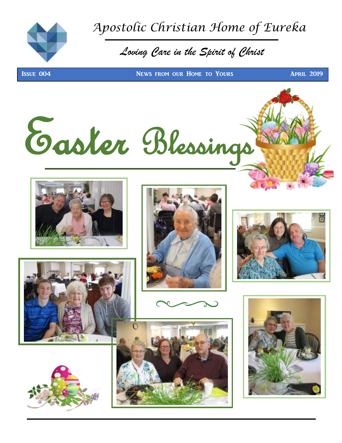

 *Apostolic Christian Home of Eureka* 

## *Loving Care in the Spirit of Christ*

**ISSUE 004 NEWS FROM OUR HOME TO YOURS APRIL 2019** 

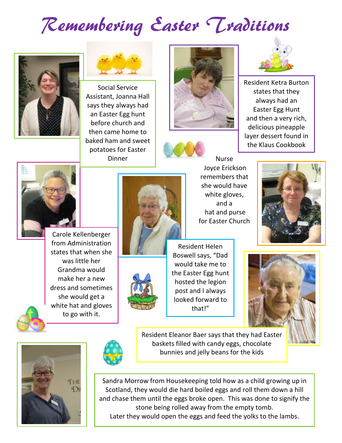# Remembering Easter Traditions





Social Service Assistant, Joanna Hall says they always had an Easter Egg hunt before church and then came home to baked ham and sweet potatoes for Easter Dinner







Resident Ketra Burton states that they always had an Easter Egg Hunt and then a very rich, delicious pineapple layer dessert found in the Klaus Cookbook



Carole Kellenberger from Administration states that when she was little her Grandma would make her a new dress and sometimes she would get a white hat and gloves to go with it.



Joyce Erickson remembers that she would have white gloves, and a hat and purse for Easter Church

Nurse





Resident Helen Boswell says, "Dad would take me to the Easter Egg hunt hosted the legion post and I always looked forward to that!"





Resident Eleanor Baer says that they had Easter baskets filled with candy eggs, chocolate bunnies and jelly beans for the kids

Sandra Morrow from Housekeeping told how as a child growing up in Scotland, they would die hard boiled eggs and roll them down a hill and chase them until the eggs broke open. This was done to signify the stone being rolled away from the empty tomb. Later they would open the eggs and feed the yolks to the lambs.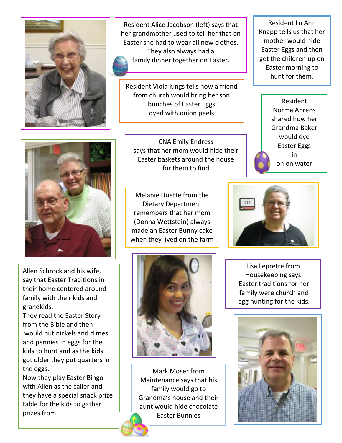

Resident Alice Jacobson (left) says that her grandmother used to tell her that on Easter she had to wear all new clothes. They also always had a family dinner together on Easter.

Resident Viola Kings tells how a friend from church would bring her son bunches of Easter Eggs dyed with onion peels

CNA Emily Endress says that her mom would hide their Easter baskets around the house for them to find.

Melanie Huette from the Dietary Department remembers that her mom (Donna Wettstein) always made an Easter Bunny cake when they lived on the farm



Mark Moser from Maintenance says that his family would go to Grandma's house and their aunt would hide chocolate Easter Bunnies

Resident Lu Ann Knapp tells us that her mother would hide Easter Eggs and then get the children up on Easter morning to hunt for them.





Lisa Lepretre from Housekeeping says Easter traditions for her family were church and egg hunting for the kids.





Allen Schrock and his wife, say that Easter Traditions in their home centered around family with their kids and grandkids.

They read the Easter Story from the Bible and then would put nickels and dimes and pennies in eggs for the kids to hunt and as the kids got older they put quarters in the eggs.

Now they play Easter Bingo with Allen as the caller and they have a special snack prize table for the kids to gather prizes from.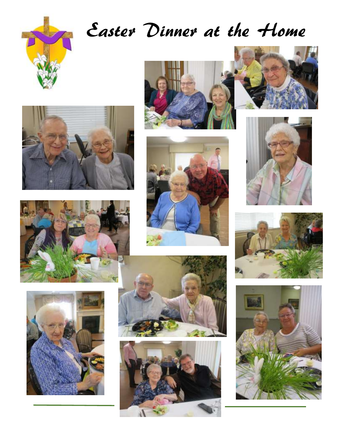

# Easter Dinner at the Home





















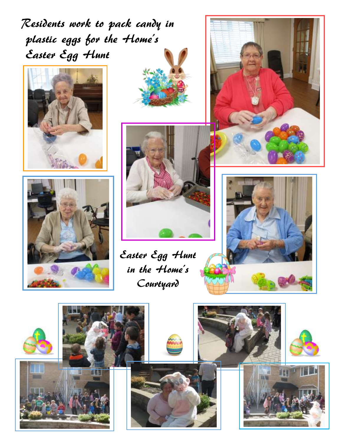Residents work to pack candy in plastic eggs for the Home's Easter Egg Hunt









Easter Egg Hunt

in the Home's

Courtyard